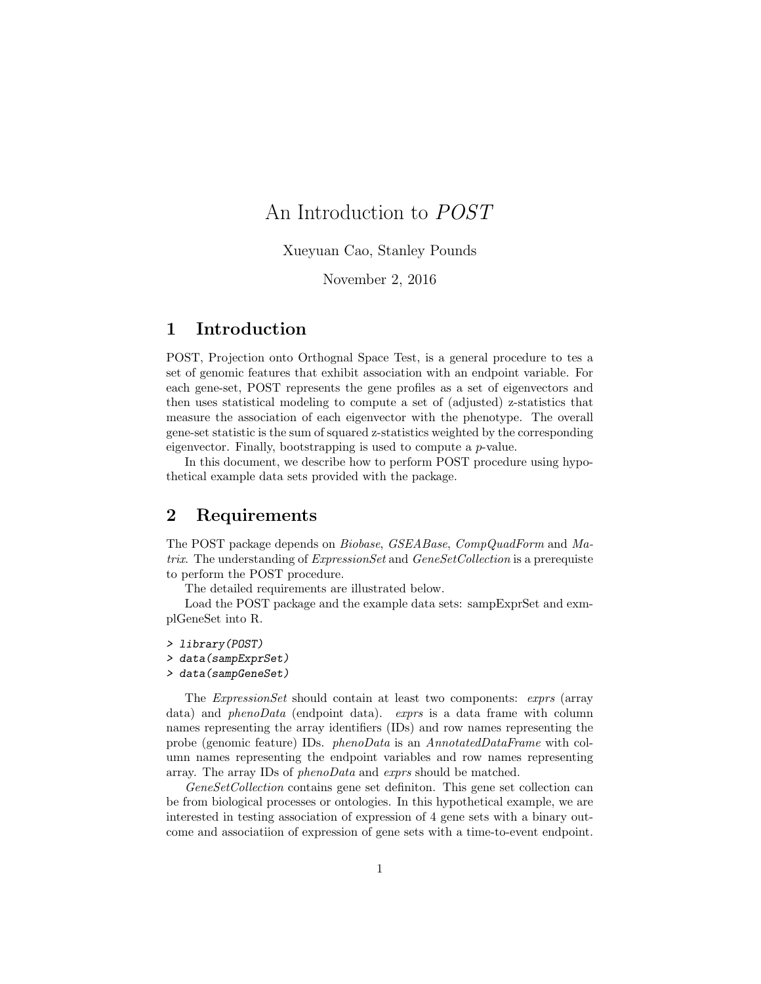## An Introduction to POST

Xueyuan Cao, Stanley Pounds

November 2, 2016

## 1 Introduction

POST, Projection onto Orthognal Space Test, is a general procedure to tes a set of genomic features that exhibit association with an endpoint variable. For each gene-set, POST represents the gene profiles as a set of eigenvectors and then uses statistical modeling to compute a set of (adjusted) z-statistics that measure the association of each eigenvector with the phenotype. The overall gene-set statistic is the sum of squared z-statistics weighted by the corresponding eigenvector. Finally, bootstrapping is used to compute a p-value.

In this document, we describe how to perform POST procedure using hypothetical example data sets provided with the package.

## 2 Requirements

The POST package depends on Biobase, GSEABase, CompQuadForm and Matrix. The understanding of *ExpressionSet* and *GeneSetCollection* is a prerequiste to perform the POST procedure.

The detailed requirements are illustrated below.

Load the POST package and the example data sets: sampExprSet and exmplGeneSet into R.

- > library(POST)
- > data(sampExprSet)
- > data(sampGeneSet)

The ExpressionSet should contain at least two components: exprs (array data) and *phenoData* (endpoint data). *exprs* is a data frame with column names representing the array identifiers (IDs) and row names representing the probe (genomic feature) IDs. phenoData is an AnnotatedDataFrame with column names representing the endpoint variables and row names representing array. The array IDs of phenoData and exprs should be matched.

GeneSetCollection contains gene set definiton. This gene set collection can be from biological processes or ontologies. In this hypothetical example, we are interested in testing association of expression of 4 gene sets with a binary outcome and associatiion of expression of gene sets with a time-to-event endpoint.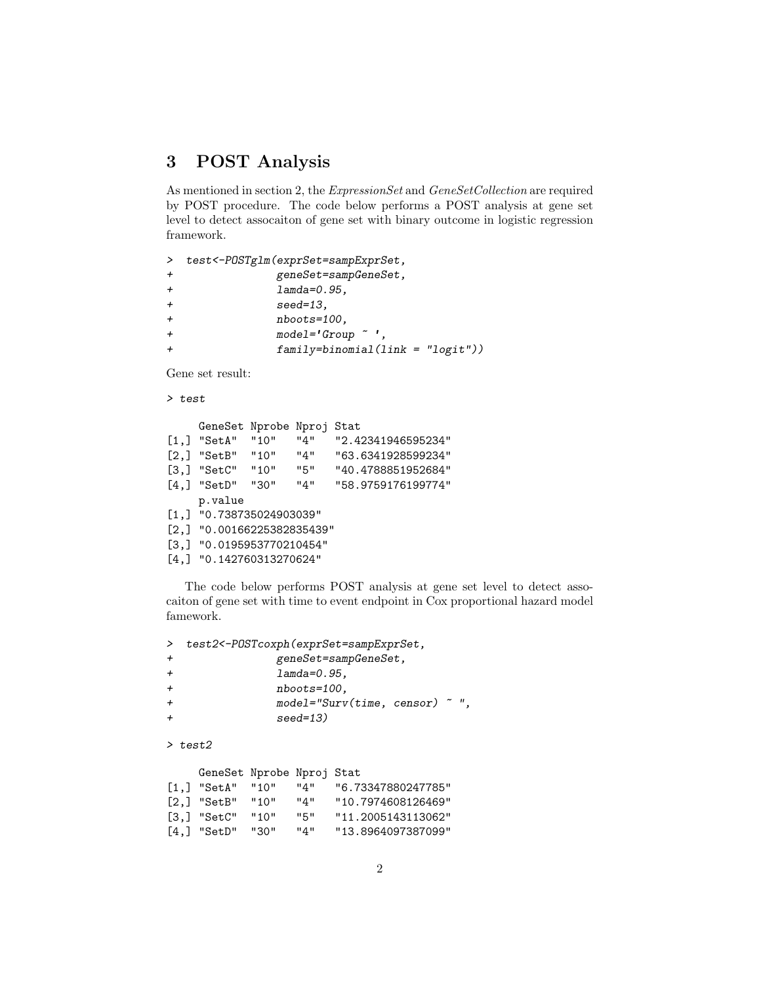## 3 POST Analysis

As mentioned in section 2, the ExpressionSet and GeneSetCollection are required by POST procedure. The code below performs a POST analysis at gene set level to detect assocaiton of gene set with binary outcome in logistic regression framework.

| $\geq$         | test<-POSTglm(exprSet=sampExprSet,    |
|----------------|---------------------------------------|
| $\overline{+}$ | geneSet=sampGeneSet,                  |
| $\overline{+}$ | $lambda=0.95$ .                       |
| $\overline{+}$ | $seed=13$ ,                           |
| $\ddot{}$      | $n$ boots=100,                        |
| $\ddot{}$      | $model='Group$ ".                     |
| $\overline{+}$ | $family = binomial (link = "logit"))$ |

Gene set result:

> test

|                     | GeneSet Nprobe Nproj Stat    |      |     |                    |  |  |  |
|---------------------|------------------------------|------|-----|--------------------|--|--|--|
| $\left[1, \right]$  | "SetA"                       | "10" | "4" | "2.42341946595234" |  |  |  |
| $\left[2, \right]$  | "SetB" "10"                  |      | "4" | "63.6341928599234" |  |  |  |
|                     | $[3,]$ "SetC" "10"           |      | "5" | "40.4788851952684" |  |  |  |
| $\lceil 4.1 \rceil$ | "SetD"                       | "30" | "4" | "58.9759176199774" |  |  |  |
|                     | p.value                      |      |     |                    |  |  |  |
|                     | $[1,]$ "0.738735024903039"   |      |     |                    |  |  |  |
|                     | $[2,]$ "0.00166225382835439" |      |     |                    |  |  |  |
|                     | $[3,]$ "0.0195953770210454"  |      |     |                    |  |  |  |
|                     | $[4,]$ "0.142760313270624"   |      |     |                    |  |  |  |

The code below performs POST analysis at gene set level to detect assocaiton of gene set with time to event endpoint in Cox proportional hazard model famework.

| $\geq$         | test2<-POSTcoxph(exprSet=sampExprSet, |  |     |                    |  |  |  |  |  |
|----------------|---------------------------------------|--|-----|--------------------|--|--|--|--|--|
| $^{+}$         | geneSet=sampGeneSet,                  |  |     |                    |  |  |  |  |  |
| $\overline{+}$ | $lambda=0.95$ ,                       |  |     |                    |  |  |  |  |  |
| $\overline{+}$ | $n$ boots=100,                        |  |     |                    |  |  |  |  |  |
| $\overline{+}$ | $model="Surv(time, censor) "",$       |  |     |                    |  |  |  |  |  |
| $+$            | $seed=13$ )                           |  |     |                    |  |  |  |  |  |
|                | $\ge$ test2                           |  |     |                    |  |  |  |  |  |
|                |                                       |  |     |                    |  |  |  |  |  |
|                | GeneSet Nprobe Nproj Stat             |  |     |                    |  |  |  |  |  |
|                | $[1,]$ "SetA" "10"                    |  | "4" | "6.73347880247785" |  |  |  |  |  |
|                | $[2,]$ "SetB" "10"                    |  | "4" | "10.7974608126469" |  |  |  |  |  |

[3,] "SetC" "10" "5" "11.2005143113062" [4,] "SetD" "30" "4" "13.8964097387099"